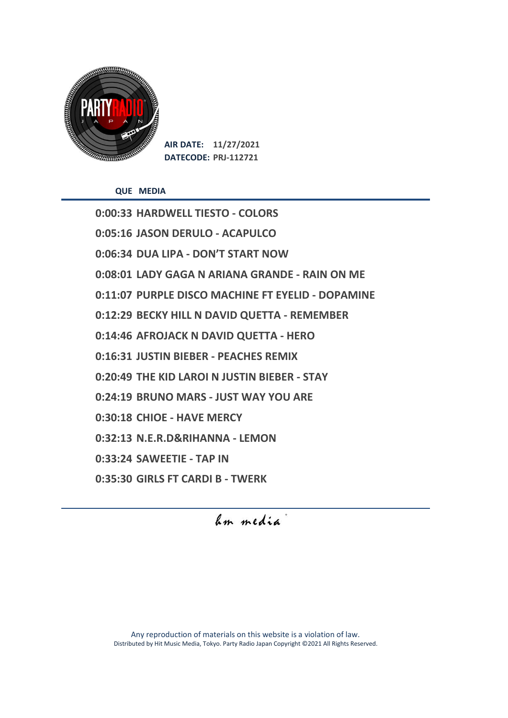

**AIR DATE: 11/27/2021 DATECODE: PRJ-112721**

**QUE MEDIA**

**0:00:33 HARDWELL TIESTO - COLORS 0:05:16 JASON DERULO - ACAPULCO 0:06:34 DUA LIPA - DON'T START NOW 0:08:01 LADY GAGA N ARIANA GRANDE - RAIN ON ME 0:11:07 PURPLE DISCO MACHINE FT EYELID - DOPAMINE 0:12:29 BECKY HILL N DAVID QUETTA - REMEMBER 0:14:46 AFROJACK N DAVID QUETTA - HERO 0:16:31 JUSTIN BIEBER - PEACHES REMIX 0:20:49 THE KID LAROI N JUSTIN BIEBER - STAY 0:24:19 BRUNO MARS - JUST WAY YOU ARE 0:30:18 CHIOE - HAVE MERCY 0:32:13 N.E.R.D&RIHANNA - LEMON 0:33:24 SAWEETIE - TAP IN 0:35:30 GIRLS FT CARDI B - TWERK**

hm media